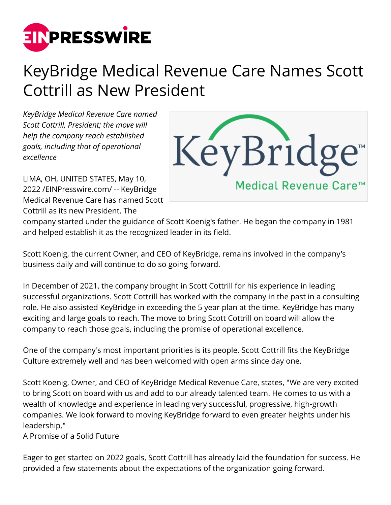

## KeyBridge Medical Revenue Care Names Scott Cottrill as New President

*KeyBridge Medical Revenue Care named Scott Cottrill, President; the move will help the company reach established goals, including that of operational excellence*

LIMA, OH, UNITED STATES, May 10, 2022 /[EINPresswire.com](http://www.einpresswire.com)/ -- KeyBridge Medical Revenue Care has named Scott Cottrill as its new President. The



company started under the guidance of Scott Koenig's father. He began the company in 1981 and helped establish it as the recognized leader in its field.

Scott Koenig, the current Owner, and CEO of KeyBridge, remains involved in the company's business daily and will continue to do so going forward.

In December of 2021, the company brought in Scott Cottrill for his experience in leading successful organizations. Scott Cottrill has worked with the company in the past in a consulting role. He also assisted KeyBridge in exceeding the 5 year plan at the time. KeyBridge has many exciting and large goals to reach. The move to bring Scott Cottrill on board will allow the company to reach those goals, including the promise of operational excellence.

One of the company's most important priorities is its people. Scott Cottrill fits the KeyBridge Culture extremely well and has been welcomed with open arms since day one.

Scott Koenig, Owner, and CEO of KeyBridge Medical Revenue Care, states, "We are very excited to bring Scott on board with us and add to our already talented team. He comes to us with a wealth of knowledge and experience in leading very successful, progressive, high-growth companies. We look forward to moving KeyBridge forward to even greater heights under his leadership."

A Promise of a Solid Future

Eager to get started on 2022 goals, Scott Cottrill has already laid the foundation for success. He provided a few statements about the expectations of the organization going forward.